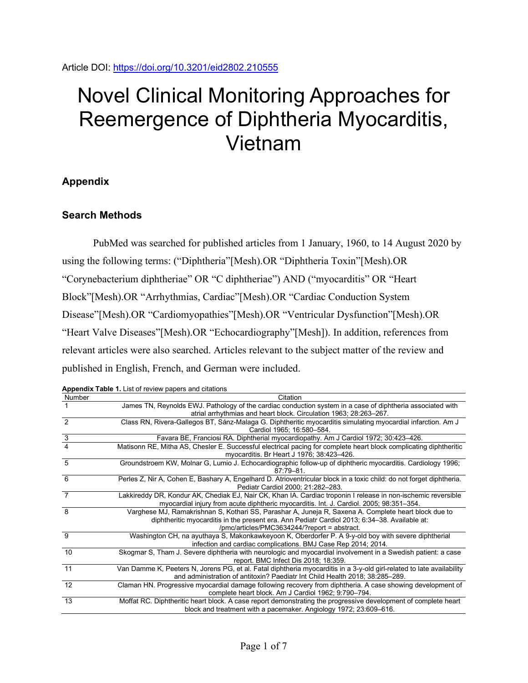# Novel Clinical Monitoring Approaches for Reemergence of Diphtheria Myocarditis, Vietnam

## **Appendix**

## **Search Methods**

PubMed was searched for published articles from 1 January, 1960, to 14 August 2020 by using the following terms: ("Diphtheria"[Mesh).OR "Diphtheria Toxin"[Mesh).OR "Corynebacterium diphtheriae" OR "C diphtheriae") AND ("myocarditis" OR "Heart Block"[Mesh).OR "Arrhythmias, Cardiac"[Mesh).OR "Cardiac Conduction System Disease"[Mesh).OR "Cardiomyopathies"[Mesh).OR "Ventricular Dysfunction"[Mesh).OR "Heart Valve Diseases"[Mesh).OR "Echocardiography"[Mesh]). In addition, references from relevant articles were also searched. Articles relevant to the subject matter of the review and published in English, French, and German were included.

| Number         | Citation                                                                                                                                                                                                                                              |
|----------------|-------------------------------------------------------------------------------------------------------------------------------------------------------------------------------------------------------------------------------------------------------|
|                | James TN, Reynolds EWJ. Pathology of the cardiac conduction system in a case of diphtheria associated with<br>atrial arrhythmias and heart block. Circulation 1963; 28:263-267.                                                                       |
| $\mathcal{P}$  | Class RN, Rivera-Gallegos BT, Sánz-Malaga G. Diphtheritic myocarditis simulating myocardial infarction. Am J<br>Cardiol 1965; 16:580-584.                                                                                                             |
| $\frac{3}{4}$  | Favara BE, Franciosi RA. Diphtherial myocardiopathy. Am J Cardiol 1972; 30:423-426.                                                                                                                                                                   |
|                | Matisonn RE, Mitha AS, Chesler E. Successful electrical pacing for complete heart block complicating diphtheritic<br>myocarditis. Br Heart J 1976; 38:423-426.                                                                                        |
| 5              | Groundstroem KW, Molnar G, Lumio J. Echocardiographic follow-up of diphtheric myocarditis. Cardiology 1996;<br>$87.79 - 81$                                                                                                                           |
| 6              | Perles Z, Nir A, Cohen E, Bashary A, Engelhard D. Atrioventricular block in a toxic child: do not forget diphtheria.<br>Pediatr Cardiol 2000; 21:282-283.                                                                                             |
| $\overline{7}$ | Lakkireddy DR, Kondur AK, Chediak EJ, Nair CK, Khan IA. Cardiac troponin I release in non-ischemic reversible<br>myocardial injury from acute diphtheric myocarditis. Int. J. Cardiol. 2005; 98:351-354.                                              |
| 8              | Varghese MJ, Ramakrishnan S, Kothari SS, Parashar A, Juneja R, Saxena A. Complete heart block due to<br>diphtheritic myocarditis in the present era. Ann Pediatr Cardiol 2013; 6:34-38. Available at:<br>/pmc/articles/PMC3634244/?report = abstract. |
| 9              | Washington CH, na ayuthaya S, Makonkawkeyoon K, Oberdorfer P. A 9-y-old boy with severe diphtherial<br>infection and cardiac complications. BMJ Case Rep 2014; 2014.                                                                                  |
| 10             | Skogmar S, Tham J. Severe diphtheria with neurologic and myocardial involvement in a Swedish patient: a case<br>report. BMC Infect Dis 2018; 18:359.                                                                                                  |
| 11             | Van Damme K, Peeters N, Jorens PG, et al. Fatal diphtheria myocarditis in a 3-y-old girl-related to late availability<br>and administration of antitoxin? Paediatr Int Child Health 2018; 38:285-289.                                                 |
| 12             | Claman HN. Progressive myocardial damage following recovery from diphtheria. A case showing development of<br>complete heart block. Am J Cardiol 1962; 9:790-794.                                                                                     |
| 13             | Moffat RC. Diphtheritic heart block. A case report demonstrating the progressive development of complete heart<br>block and treatment with a pacemaker. Angiology 1972; 23:609–616.                                                                   |

**Appendix Table 1.** List of review papers and citations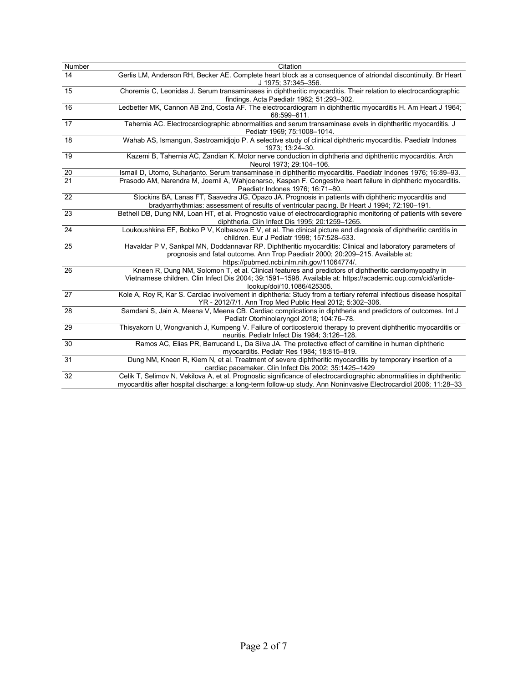| Number          | Citation                                                                                                                                                                                                                                             |
|-----------------|------------------------------------------------------------------------------------------------------------------------------------------------------------------------------------------------------------------------------------------------------|
| 14              | Gerlis LM, Anderson RH, Becker AE. Complete heart block as a consequence of atriondal discontinuity. Br Heart<br>J 1975; 37:345-356.                                                                                                                 |
| $\overline{15}$ | Choremis C, Leonidas J. Serum transaminases in diphtheritic myocarditis. Their relation to electrocardiographic<br>findings. Acta Paediatr 1962; 51:293-302.                                                                                         |
| 16              | Ledbetter MK, Cannon AB 2nd, Costa AF. The electrocardiogram in diphtheritic myocarditis H. Am Heart J 1964;<br>68:599-611.                                                                                                                          |
| $\overline{17}$ | Tahernia AC. Electrocardiographic abnormalities and serum transaminase evels in diphtheritic myocarditis. J<br>Pediatr 1969; 75:1008-1014.                                                                                                           |
| 18              | Wahab AS, Ismangun, Sastroamidjojo P. A selective study of clinical diphtheric myocarditis. Paediatr Indones<br>1973; 13:24-30.                                                                                                                      |
| 19              | Kazemi B, Tahernia AC, Zandian K. Motor nerve conduction in diphtheria and diphtheritic myocarditis. Arch<br>Neurol 1973; 29:104-106.                                                                                                                |
|                 | Ismail D, Utomo, Suharjanto. Serum transaminase in diphtheritic myocarditis. Paediatr Indones 1976; 16:89-93.                                                                                                                                        |
| $\frac{20}{21}$ | Prasodo AM, Narendra M, Joernil A, Wahjoenarso, Kaspan F. Congestive heart failure in diphtheric myocarditis.<br>Paediatr Indones 1976; 16:71-80.                                                                                                    |
| 22              | Stockins BA, Lanas FT, Saavedra JG, Opazo JA. Prognosis in patients with diphtheric myocarditis and<br>bradyarrhythmias: assessment of results of ventricular pacing. Br Heart J 1994; 72:190-191.                                                   |
| 23              | Bethell DB, Dung NM, Loan HT, et al. Prognostic value of electrocardiographic monitoring of patients with severe<br>diphtheria. Clin Infect Dis 1995; 20:1259-1265.                                                                                  |
| 24              | Loukoushkina EF, Bobko P V, Kolbasova E V, et al. The clinical picture and diagnosis of diphtheritic carditis in<br>children. Eur J Pediatr 1998; 157:528-533.                                                                                       |
| 25              | Havaldar P V, Sankpal MN, Doddannavar RP. Diphtheritic myocarditis: Clinical and laboratory parameters of<br>prognosis and fatal outcome. Ann Trop Paediatr 2000; 20:209-215. Available at:<br>https://pubmed.ncbi.nlm.nih.gov/11064774/.            |
| 26              | Kneen R, Dung NM, Solomon T, et al. Clinical features and predictors of diphtheritic cardiomyopathy in<br>Vietnamese children. Clin Infect Dis 2004; 39:1591-1598. Available at: https://academic.oup.com/cid/article-<br>lookup/doi/10.1086/425305. |
| $\overline{27}$ | Kole A, Roy R, Kar S. Cardiac involvement in diphtheria: Study from a tertiary referral infectious disease hospital<br>YR - 2012/7/1. Ann Trop Med Public Heal 2012; 5:302-306.                                                                      |
| 28              | Samdani S, Jain A, Meena V, Meena CB. Cardiac complications in diphtheria and predictors of outcomes. Int J<br>Pediatr Otorhinolaryngol 2018; 104:76-78.                                                                                             |
| 29              | Thisyakorn U, Wongvanich J, Kumpeng V. Failure of corticosteroid therapy to prevent diphtheritic myocarditis or<br>neuritis. Pediatr Infect Dis 1984; 3:126-128.                                                                                     |
| 30              | Ramos AC, Elias PR, Barrucand L, Da Silva JA. The protective effect of carnitine in human diphtheric<br>myocarditis. Pediatr Res 1984; 18:815-819.                                                                                                   |
| 31              | Dung NM, Kneen R, Kiem N, et al. Treatment of severe diphtheritic myocarditis by temporary insertion of a<br>cardiac pacemaker. Clin Infect Dis 2002; 35:1425-1429                                                                                   |
| 32              | Celik T, Selimov N, Vekilova A, et al. Prognostic significance of electrocardiographic abnormalities in diphtheritic<br>myocarditis after hospital discharge: a long-term follow-up study. Ann Noninvasive Electrocardiol 2006; 11:28-33             |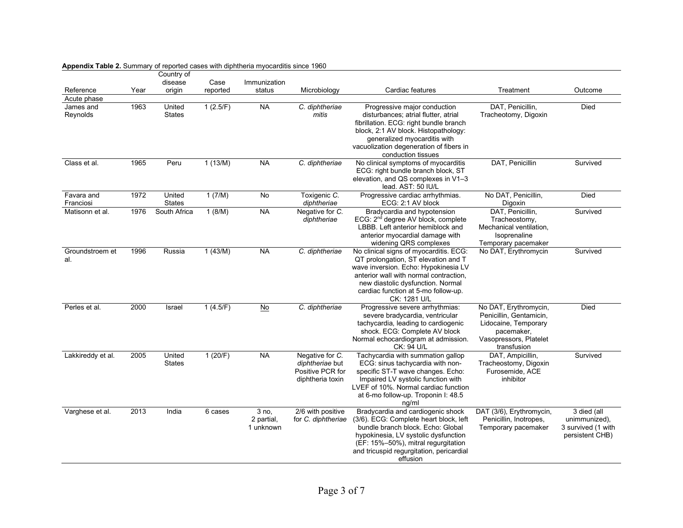|                         |      | Country of              |          |                                  |                                                                            |                                                                                                                                                                                                                                                             |                                                                                                                                 |                                                                       |
|-------------------------|------|-------------------------|----------|----------------------------------|----------------------------------------------------------------------------|-------------------------------------------------------------------------------------------------------------------------------------------------------------------------------------------------------------------------------------------------------------|---------------------------------------------------------------------------------------------------------------------------------|-----------------------------------------------------------------------|
|                         |      | disease                 | Case     | Immunization                     |                                                                            |                                                                                                                                                                                                                                                             |                                                                                                                                 |                                                                       |
| Reference               | Year | origin                  | reported | status                           | Microbiology                                                               | Cardiac features                                                                                                                                                                                                                                            | Treatment                                                                                                                       | Outcome                                                               |
| Acute phase             |      |                         |          |                                  |                                                                            |                                                                                                                                                                                                                                                             |                                                                                                                                 |                                                                       |
| James and<br>Reynolds   | 1963 | United<br><b>States</b> | 1(2.5/F) | <b>NA</b>                        | C. diphtheriae<br>mitis                                                    | Progressive major conduction<br>disturbances; atrial flutter, atrial<br>fibrillation. ECG: right bundle branch<br>block, 2:1 AV block. Histopathology:<br>generalized myocarditis with<br>vacuolization degeneration of fibers in<br>conduction tissues     | DAT, Penicillin,<br>Tracheotomy, Digoxin                                                                                        | Died                                                                  |
| Class et al.            | 1965 | Peru                    | 1(13/M)  | <b>NA</b>                        | C. diphtheriae                                                             | No clinical symptoms of myocarditis<br>ECG: right bundle branch block, ST<br>elevation, and QS complexes in V1-3<br>lead. AST: 50 IU/L                                                                                                                      | DAT, Penicillin                                                                                                                 | Survived                                                              |
| Favara and<br>Franciosi | 1972 | United<br><b>States</b> | 1 (7/M)  | No                               | Toxigenic C.<br>diphtheriae                                                | Progressive cardiac arrhythmias.<br>ECG: 2:1 AV block                                                                                                                                                                                                       | No DAT, Penicillin,<br>Digoxin                                                                                                  | Died                                                                  |
| Matisonn et al.         | 1976 | South Africa            | 1(8/M)   | <b>NA</b>                        | Negative for C.<br>diphtheriae                                             | Bradycardia and hypotension<br>ECG: 2 <sup>nd</sup> degree AV block, complete<br>LBBB. Left anterior hemiblock and<br>anterior myocardial damage with<br>widening QRS complexes                                                                             | DAT, Penicillin,<br>Tracheostomy,<br>Mechanical ventilation.<br>Isoprenaline<br>Temporary pacemaker                             | Survived                                                              |
| Groundstroem et<br>al.  | 1996 | Russia                  | 1(43/M)  | <b>NA</b>                        | C. diphtheriae                                                             | No clinical signs of myocarditis. ECG:<br>QT prolongation, ST elevation and T<br>wave inversion. Echo: Hypokinesia LV<br>anterior wall with normal contraction,<br>new diastolic dysfunction. Normal<br>cardiac function at 5-mo follow-up.<br>CK: 1281 U/L | No DAT, Erythromycin                                                                                                            | Survived                                                              |
| Perles et al.           | 2000 | Israel                  | 1(4.5/F) | $No$                             | C. diphtheriae                                                             | Progressive severe arrhythmias:<br>severe bradycardia, ventricular<br>tachycardia, leading to cardiogenic<br>shock. ECG: Complete AV block<br>Normal echocardiogram at admission.<br>CK: 94 U/L                                                             | No DAT, Erythromycin,<br>Penicillin, Gentamicin,<br>Lidocaine, Temporary<br>pacemaker,<br>Vasopressors, Platelet<br>transfusion | Died                                                                  |
| Lakkireddy et al.       | 2005 | United<br><b>States</b> | 1(20/F)  | <b>NA</b>                        | Negative for C.<br>diphtheriae but<br>Positive PCR for<br>diphtheria toxin | Tachycardia with summation gallop<br>ECG: sinus tachycardia with non-<br>specific ST-T wave changes. Echo:<br>Impaired LV systolic function with<br>LVEF of 10%. Normal cardiac function<br>at 6-mo follow-up. Troponin I: 48.5<br>ng/ml                    | DAT, Ampicillin,<br>Tracheostomy, Digoxin<br>Furosemide, ACE<br>inhibitor                                                       | Survived                                                              |
| Varghese et al.         | 2013 | India                   | 6 cases  | 3 no.<br>2 partial,<br>1 unknown | 2/6 with positive<br>for C. diphtheriae                                    | Bradycardia and cardiogenic shock<br>(3/6). ECG: Complete heart block, left<br>bundle branch block. Echo: Global<br>hypokinesia, LV systolic dysfunction<br>(EF: 15%-50%), mitral regurgitation<br>and tricuspid regurgitation, pericardial<br>effusion     | DAT (3/6), Erythromycin,<br>Penicillin, Inotropes,<br>Temporary pacemaker                                                       | 3 died (all<br>unimmunized),<br>3 survived (1 with<br>persistent CHB) |

### **Appendix Table 2.** Summary of reported cases with diphtheria myocarditis since 1960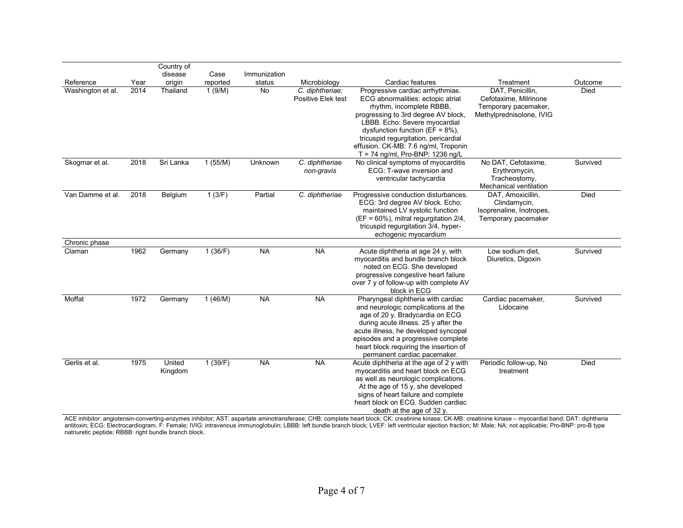|                   |      | Country of<br>disease | Case     | Immunization |                                       |                                                                                                                                                                                                                                                                                                                                         |                                                                                               |             |
|-------------------|------|-----------------------|----------|--------------|---------------------------------------|-----------------------------------------------------------------------------------------------------------------------------------------------------------------------------------------------------------------------------------------------------------------------------------------------------------------------------------------|-----------------------------------------------------------------------------------------------|-------------|
| Reference         | Year | origin                | reported | status       | Microbiology                          | Cardiac features                                                                                                                                                                                                                                                                                                                        | Treatment                                                                                     | Outcome     |
| Washington et al. | 2014 | Thailand              | 1(9/M)   | No           | C. diphtheriae;<br>Positive Elek test | Progressive cardiac arrhythmias.<br>ECG abnormalities: ectopic atrial<br>rhythm, incomplete RBBB,<br>progressing to 3rd degree AV block,<br>LBBB. Echo: Severe myocardial<br>dysfunction function ( $EF = 8\%$ ),<br>tricuspid regurgitation, pericardial<br>effusion. CK-MB: 7.6 ng/ml, Troponin<br>$T = 74$ ng/ml, Pro-BNP: 1236 ng/L | DAT, Penicillin,<br>Cefotaxime, Milrinone<br>Temporary pacemaker,<br>Methylprednisolone, IVIG | <b>Died</b> |
| Skogmar et al.    | 2018 | Sri Lanka             | 1(55/M)  | Unknown      | C. diphtheriae<br>non-gravis          | No clinical symptoms of myocarditis<br>ECG: T-wave inversion and<br>ventricular tachycardia                                                                                                                                                                                                                                             | No DAT, Cefotaxime,<br>Erythromycin,<br>Tracheostomy,<br>Mechanical ventilation               | Survived    |
| Van Damme et al.  | 2018 | Belgium               | 1(3/F)   | Partial      | C. diphtheriae                        | Progressive conduction disturbances.<br>ECG: 3rd degree AV block. Echo:<br>maintained LV systolic function<br>$(EF = 60\%)$ , mitral regurgitation 2/4,<br>tricuspid regurgitation 3/4, hyper-<br>echogenic myocardium                                                                                                                  | DAT, Amoxicillin,<br>Clindamycin,<br>Isoprenaline, Inotropes,<br>Temporary pacemaker          | <b>Died</b> |
| Chronic phase     |      |                       |          |              |                                       |                                                                                                                                                                                                                                                                                                                                         |                                                                                               |             |
| Claman            | 1962 | Germany               | 1(36/F)  | <b>NA</b>    | <b>NA</b>                             | Acute diphtheria at age 24 y, with<br>myocarditis and bundle branch block<br>noted on ECG. She developed<br>progressive congestive heart failure<br>over 7 y of follow-up with complete AV<br>block in ECG                                                                                                                              | Low sodium diet,<br>Diuretics, Digoxin                                                        | Survived    |
| Moffat            | 1972 | Germany               | 1(46/M)  | <b>NA</b>    | <b>NA</b>                             | Pharyngeal diphtheria with cardiac<br>and neurologic complications at the<br>age of 20 y. Bradycardia on ECG<br>during acute illness. 25 y after the<br>acute illness, he developed syncopal<br>episodes and a progressive complete<br>heart block requiring the insertion of<br>permanent cardiac pacemaker.                           | Cardiac pacemaker,<br>Lidocaine                                                               | Survived    |
| Gerlis et al.     | 1975 | United<br>Kingdom     | 1(39/F)  | <b>NA</b>    | <b>NA</b>                             | Acute diphtheria at the age of 2 y with<br>myocarditis and heart block on ECG<br>as well as neurologic complications.<br>At the age of 15 y, she developed<br>signs of heart failure and complete<br>heart block on ECG. Sudden cardiac<br>death at the age of $32 y$ .                                                                 | Periodic follow-up, No<br>treatment                                                           | <b>Died</b> |

ACE inhibitor: angiotensin-converting-enzymes inhibitor; AST: aspartate aminotransferase; CHB: complete heart block; CK: creatinine kinase; CK-MB: creatinine kinase – myocardial band; DAT: diphtheria antitoxin; ECG: Electrocardiogram, F: Female; IVIG: intravenous immunoglobulin; LBBB: left bundle branch block; LVEF: left ventricular ejection fraction; M: Male; NA: not applicable; Pro-BNP: pro-B type natriuretic peptide; RBBB: right bundle branch block.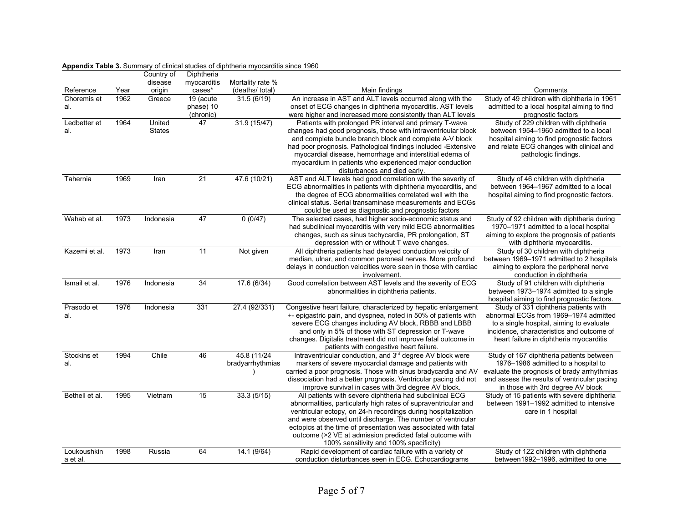|                          |              | Country of       | Diphtheria          |                               |                                                                                                                                  |                                                                                             |
|--------------------------|--------------|------------------|---------------------|-------------------------------|----------------------------------------------------------------------------------------------------------------------------------|---------------------------------------------------------------------------------------------|
|                          |              | disease          | myocarditis         | Mortality rate %              |                                                                                                                                  |                                                                                             |
| Reference<br>Choremis et | Year<br>1962 | origin<br>Greece | cases*<br>19 (acute | (deaths/ total)<br>31.5(6/19) | Main findings<br>An increase in AST and ALT levels occurred along with the                                                       | Comments<br>Study of 49 children with diphtheria in 1961                                    |
| al.                      |              |                  | phase) 10           |                               | onset of ECG changes in diphtheria myocarditis. AST levels                                                                       | admitted to a local hospital aiming to find                                                 |
|                          |              |                  | (chronic)           |                               | were higher and increased more consistently than ALT levels                                                                      | prognostic factors                                                                          |
| Ledbetter et             | 1964         | United           | 47                  | 31.9(15/47)                   | Patients with prolonged PR interval and primary T-wave                                                                           | Study of 229 children with diphtheria                                                       |
| al.                      |              | <b>States</b>    |                     |                               | changes had good prognosis, those with intraventricular block                                                                    | between 1954–1960 admitted to a local                                                       |
|                          |              |                  |                     |                               | and complete bundle branch block and complete A-V block                                                                          | hospital aiming to find prognostic factors                                                  |
|                          |              |                  |                     |                               | had poor prognosis. Pathological findings included -Extensive                                                                    | and relate ECG changes with clinical and                                                    |
|                          |              |                  |                     |                               | myocardial disease, hemorrhage and interstitial edema of                                                                         | pathologic findings.                                                                        |
|                          |              |                  |                     |                               | myocardium in patients who experienced major conduction                                                                          |                                                                                             |
|                          |              |                  |                     |                               | disturbances and died early.                                                                                                     |                                                                                             |
| Tahernia                 | 1969         | Iran             | $\overline{21}$     | 47.6 (10/21)                  | AST and ALT levels had good correlation with the severity of                                                                     | Study of 46 children with diphtheria                                                        |
|                          |              |                  |                     |                               | ECG abnormalities in patients with diphtheria myocarditis, and                                                                   | between 1964–1967 admitted to a local                                                       |
|                          |              |                  |                     |                               | the degree of ECG abnormalities correlated well with the<br>clinical status. Serial transaminase measurements and ECGs           | hospital aiming to find prognostic factors.                                                 |
|                          |              |                  |                     |                               | could be used as diagnostic and prognostic factors                                                                               |                                                                                             |
| Wahab et al.             | 1973         | Indonesia        | 47                  | 0(0/47)                       | The selected cases, had higher socio-economic status and                                                                         | Study of 92 children with diphtheria during                                                 |
|                          |              |                  |                     |                               | had subclinical myocarditis with very mild ECG abnormalities                                                                     | 1970-1971 admitted to a local hospital                                                      |
|                          |              |                  |                     |                               | changes, such as sinus tachycardia, PR prolongation, ST                                                                          | aiming to explore the prognosis of patients                                                 |
|                          |              |                  |                     |                               | depression with or without T wave changes.                                                                                       | with diphtheria myocarditis.                                                                |
| Kazemi et al.            | 1973         | Iran             | 11                  | Not given                     | All diphtheria patients had delayed conduction velocity of                                                                       | Study of 30 children with diphtheria                                                        |
|                          |              |                  |                     |                               | median, ulnar, and common peroneal nerves. More profound                                                                         | between 1969–1971 admitted to 2 hospitals                                                   |
|                          |              |                  |                     |                               | delays in conduction velocities were seen in those with cardiac                                                                  | aiming to explore the peripheral nerve                                                      |
|                          |              |                  |                     |                               | involvement.                                                                                                                     | conduction in diphtheria                                                                    |
| Ismail et al.            | 1976         | Indonesia        | 34                  | 17.6(6/34)                    | Good correlation between AST levels and the severity of ECG<br>abnormalities in diphtheria patients.                             | Study of 91 children with diphtheria<br>between 1973–1974 admitted to a single              |
|                          |              |                  |                     |                               |                                                                                                                                  | hospital aiming to find prognostic factors.                                                 |
| Prasodo et               | 1976         | Indonesia        | 331                 | 27.4(92/331)                  | Congestive heart failure, characterized by hepatic enlargement                                                                   | Study of 331 diphtheria patients with                                                       |
| al.                      |              |                  |                     |                               | +- epigastric pain, and dyspnea, noted in 50% of patients with                                                                   | abnormal ECGs from 1969-1974 admitted                                                       |
|                          |              |                  |                     |                               | severe ECG changes including AV block, RBBB and LBBB                                                                             | to a single hospital, aiming to evaluate                                                    |
|                          |              |                  |                     |                               | and only in 5% of those with ST depression or T-wave                                                                             | incidence, characteristics and outcome of                                                   |
|                          |              |                  |                     |                               | changes. Digitalis treatment did not improve fatal outcome in                                                                    | heart failure in diphtheria myocarditis                                                     |
|                          |              |                  |                     |                               | patients with congestive heart failure.                                                                                          |                                                                                             |
| Stockins et              | 1994         | Chile            | 46                  | 45.8 (11/24)                  | Intraventricular conduction, and 3rd degree AV block were                                                                        | Study of 167 diphtheria patients between                                                    |
| al.                      |              |                  |                     | bradyarrhythmias              | markers of severe myocardial damage and patients with                                                                            | 1976–1986 admitted to a hospital to                                                         |
|                          |              |                  |                     |                               | carried a poor prognosis. Those with sinus bradycardia and AV<br>dissociation had a better prognosis. Ventricular pacing did not | evaluate the prognosis of brady arrhythmias<br>and assess the results of ventricular pacing |
|                          |              |                  |                     |                               | improve survival in cases with 3rd degree AV block.                                                                              | in those with 3rd degree AV block                                                           |
| Bethell et al.           | 1995         | Vietnam          | 15                  | 33.3(5/15)                    | All patients with severe diphtheria had subclinical ECG                                                                          | Study of 15 patients with severe diphtheria                                                 |
|                          |              |                  |                     |                               | abnormalities, particularly high rates of supraventricular and                                                                   | between 1991–1992 admitted to intensive                                                     |
|                          |              |                  |                     |                               | ventricular ectopy, on 24-h recordings during hospitalization                                                                    | care in 1 hospital                                                                          |
|                          |              |                  |                     |                               | and were observed until discharge. The number of ventricular                                                                     |                                                                                             |
|                          |              |                  |                     |                               | ectopics at the time of presentation was associated with fatal                                                                   |                                                                                             |
|                          |              |                  |                     |                               | outcome (>2 VE at admission predicted fatal outcome with                                                                         |                                                                                             |
|                          |              |                  |                     |                               | 100% sensitivity and 100% specificity)                                                                                           |                                                                                             |
| Loukoushkin              | 1998         | Russia           | 64                  | 14.1 (9/64)                   | Rapid development of cardiac failure with a variety of                                                                           | Study of 122 children with diphtheria                                                       |
| a et al.                 |              |                  |                     |                               | conduction disturbances seen in ECG. Echocardiograms                                                                             | between1992-1996, admitted to one                                                           |

### **Appendix Table 3.** Summary of clinical studies of diphtheria myocarditis since 1960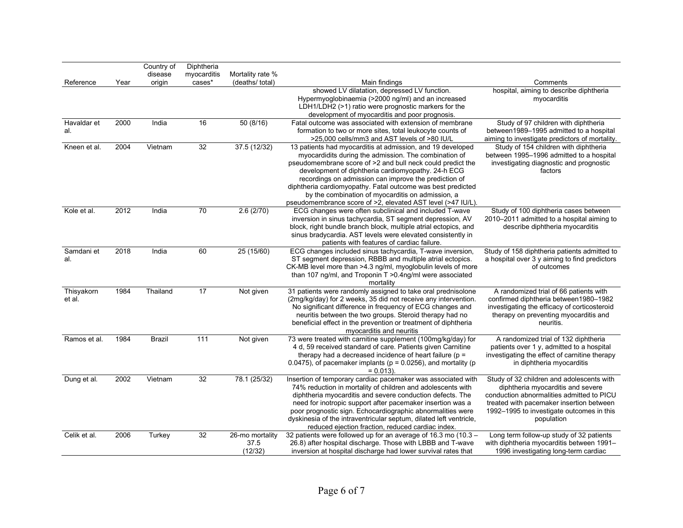|              |      | Country of    | Diphtheria  |                  |                                                                                                                          |                                                                                     |
|--------------|------|---------------|-------------|------------------|--------------------------------------------------------------------------------------------------------------------------|-------------------------------------------------------------------------------------|
|              |      | disease       | myocarditis | Mortality rate % |                                                                                                                          |                                                                                     |
| Reference    | Year | origin        | cases*      | (deaths/ total)  | Main findings<br>showed LV dilatation, depressed LV function.                                                            | Comments<br>hospital, aiming to describe diphtheria                                 |
|              |      |               |             |                  | Hypermyoglobinaemia (>2000 ng/ml) and an increased                                                                       | myocarditis                                                                         |
|              |      |               |             |                  | LDH1/LDH2 (>1) ratio were prognostic markers for the                                                                     |                                                                                     |
|              |      |               |             |                  | development of myocarditis and poor prognosis.                                                                           |                                                                                     |
| Havaldar et  | 2000 | India         | 16          | 50(8/16)         | Fatal outcome was associated with extension of membrane                                                                  | Study of 97 children with diphtheria                                                |
| al.          |      |               |             |                  | formation to two or more sites, total leukocyte counts of                                                                | between1989-1995 admitted to a hospital                                             |
|              |      |               |             |                  | >25,000 cells/mm3 and AST levels of >80 IU/L                                                                             | aiming to investigate predictors of mortality.                                      |
| Kneen et al. | 2004 | Vietnam       | 32          | 37.5(12/32)      | 13 patients had myocarditis at admission, and 19 developed                                                               | Study of 154 children with diphtheria                                               |
|              |      |               |             |                  | myocardidits during the admission. The combination of<br>pseudomembrane score of >2 and bull neck could predict the      | between 1995–1996 admitted to a hospital<br>investigating diagnostic and prognostic |
|              |      |               |             |                  | development of diphtheria cardiomyopathy. 24-h ECG                                                                       | factors                                                                             |
|              |      |               |             |                  | recordings on admission can improve the prediction of                                                                    |                                                                                     |
|              |      |               |             |                  | diphtheria cardiomyopathy. Fatal outcome was best predicted                                                              |                                                                                     |
|              |      |               |             |                  | by the combination of myocarditis on admission, a                                                                        |                                                                                     |
|              |      |               |             |                  | pseudomembrance score of >2, elevated AST level (>47 IU/L).                                                              |                                                                                     |
| Kole et al.  | 2012 | India         | 70          | 2.6(2/70)        | ECG changes were often subclinical and included T-wave<br>inversion in sinus tachycardia, ST segment depression, AV      | Study of 100 diphtheria cases between<br>2010-2011 admitted to a hospital aiming to |
|              |      |               |             |                  | block, right bundle branch block, multiple atrial ectopics, and                                                          | describe diphtheria myocarditis                                                     |
|              |      |               |             |                  | sinus bradycardia. AST levels were elevated consistently in                                                              |                                                                                     |
|              |      |               |             |                  | patients with features of cardiac failure.                                                                               |                                                                                     |
| Samdani et   | 2018 | India         | 60          | 25(15/60)        | ECG changes included sinus tachycardia, T-wave inversion,                                                                | Study of 158 diphtheria patients admitted to                                        |
| al.          |      |               |             |                  | ST segment depression, RBBB and multiple atrial ectopics.                                                                | a hospital over 3 y aiming to find predictors                                       |
|              |      |               |             |                  | CK-MB level more than >4.3 ng/ml, myoglobulin levels of more                                                             | of outcomes                                                                         |
|              |      |               |             |                  | than 107 ng/ml, and Troponin T >0.4ng/ml were associated<br>mortality                                                    |                                                                                     |
| Thisyakorn   | 1984 | Thailand      | 17          | Not given        | 31 patients were randomly assigned to take oral prednisolone                                                             | A randomized trial of 66 patients with                                              |
| et al.       |      |               |             |                  | (2mg/kg/day) for 2 weeks, 35 did not receive any intervention.                                                           | confirmed diphtheria between1980-1982                                               |
|              |      |               |             |                  | No significant difference in frequency of ECG changes and                                                                | investigating the efficacy of corticosteroid                                        |
|              |      |               |             |                  | neuritis between the two groups. Steroid therapy had no                                                                  | therapy on preventing myocarditis and                                               |
|              |      |               |             |                  | beneficial effect in the prevention or treatment of diphtheria                                                           | neuritis.                                                                           |
| Ramos et al. | 1984 | <b>Brazil</b> | 111         | Not given        | myocarditis and neuritis<br>73 were treated with carnitine supplement (100mg/kg/day) for                                 | A randomized trial of 132 diphtheria                                                |
|              |      |               |             |                  | 4 d, 59 received standard of care. Patients given Carnitine                                                              | patients over 1 y, admitted to a hospital                                           |
|              |      |               |             |                  | therapy had a decreased incidence of heart failure ( $p =$                                                               | investigating the effect of carnitine therapy                                       |
|              |      |               |             |                  | 0.0475), of pacemaker implants ( $p = 0.0256$ ), and mortality ( $p = 0.0475$ )                                          | in diphtheria myocarditis                                                           |
|              |      |               |             |                  | $= 0.013$ ).                                                                                                             |                                                                                     |
| Dung et al.  | 2002 | Vietnam       | 32          | 78.1 (25/32)     | Insertion of temporary cardiac pacemaker was associated with                                                             | Study of 32 children and adolescents with                                           |
|              |      |               |             |                  | 74% reduction in mortality of children and adolescents with<br>diphtheria myocarditis and severe conduction defects. The | diphtheria myocarditis and severe<br>conduction abnormalities admitted to PICU      |
|              |      |               |             |                  | need for inotropic support after pacemaker insertion was a                                                               | treated with pacemaker insertion between                                            |
|              |      |               |             |                  | poor prognostic sign. Echocardiographic abnormalities were                                                               | 1992-1995 to investigate outcomes in this                                           |
|              |      |               |             |                  | dyskinesia of the intraventricular septum, dilated left ventricle,                                                       | population                                                                          |
|              |      |               |             |                  | reduced ejection fraction, reduced cardiac index.                                                                        |                                                                                     |
| Celik et al. | 2006 | Turkey        | 32          | 26-mo mortality  | 32 patients were followed up for an average of 16.3 mo (10.3 -                                                           | Long term follow-up study of 32 patients                                            |
|              |      |               |             | 37.5             | 26.8) after hospital discharge. Those with LBBB and T-wave                                                               | with diphtheria myocarditis between 1991-                                           |
|              |      |               |             | (12/32)          | inversion at hospital discharge had lower survival rates that                                                            | 1996 investigating long-term cardiac                                                |